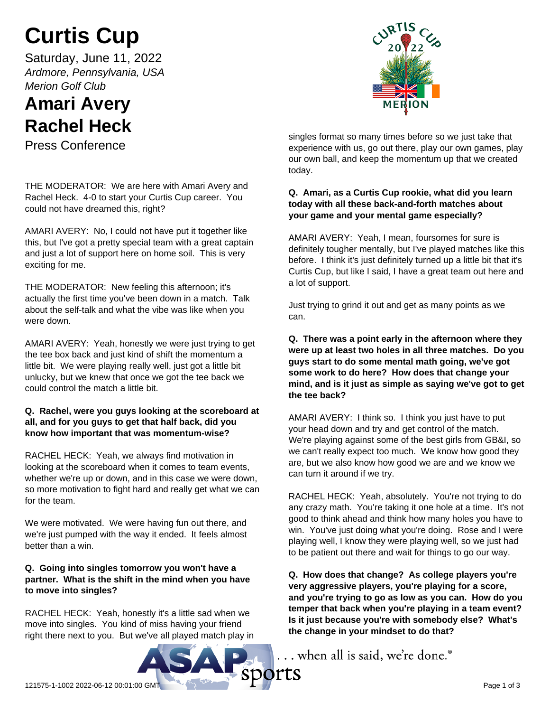# **Curtis Cup**

Saturday, June 11, 2022 *Ardmore, Pennsylvania, USA Merion Golf Club*

# **Amari Avery Rachel Heck**

Press Conference

THE MODERATOR: We are here with Amari Avery and Rachel Heck. 4-0 to start your Curtis Cup career. You could not have dreamed this, right?

AMARI AVERY: No, I could not have put it together like this, but I've got a pretty special team with a great captain and just a lot of support here on home soil. This is very exciting for me.

THE MODERATOR: New feeling this afternoon; it's actually the first time you've been down in a match. Talk about the self-talk and what the vibe was like when you were down.

AMARI AVERY: Yeah, honestly we were just trying to get the tee box back and just kind of shift the momentum a little bit. We were playing really well, just got a little bit unlucky, but we knew that once we got the tee back we could control the match a little bit.

## **Q. Rachel, were you guys looking at the scoreboard at all, and for you guys to get that half back, did you know how important that was momentum-wise?**

RACHEL HECK: Yeah, we always find motivation in looking at the scoreboard when it comes to team events, whether we're up or down, and in this case we were down, so more motivation to fight hard and really get what we can for the team.

We were motivated. We were having fun out there, and we're just pumped with the way it ended. It feels almost better than a win.

# **Q. Going into singles tomorrow you won't have a partner. What is the shift in the mind when you have to move into singles?**

RACHEL HECK: Yeah, honestly it's a little sad when we move into singles. You kind of miss having your friend right there next to you. But we've all played match play in



singles format so many times before so we just take that experience with us, go out there, play our own games, play our own ball, and keep the momentum up that we created today.

# **Q. Amari, as a Curtis Cup rookie, what did you learn today with all these back-and-forth matches about your game and your mental game especially?**

AMARI AVERY: Yeah, I mean, foursomes for sure is definitely tougher mentally, but I've played matches like this before. I think it's just definitely turned up a little bit that it's Curtis Cup, but like I said, I have a great team out here and a lot of support.

Just trying to grind it out and get as many points as we can.

**Q. There was a point early in the afternoon where they were up at least two holes in all three matches. Do you guys start to do some mental math going, we've got some work to do here? How does that change your mind, and is it just as simple as saying we've got to get the tee back?**

AMARI AVERY: I think so. I think you just have to put your head down and try and get control of the match. We're playing against some of the best girls from GB&I, so we can't really expect too much. We know how good they are, but we also know how good we are and we know we can turn it around if we try.

RACHEL HECK: Yeah, absolutely. You're not trying to do any crazy math. You're taking it one hole at a time. It's not good to think ahead and think how many holes you have to win. You've just doing what you're doing. Rose and I were playing well, I know they were playing well, so we just had to be patient out there and wait for things to go our way.

**Q. How does that change? As college players you're very aggressive players, you're playing for a score, and you're trying to go as low as you can. How do you temper that back when you're playing in a team event? Is it just because you're with somebody else? What's the change in your mindset to do that?**

.. when all is said, we're done.<sup>®</sup>

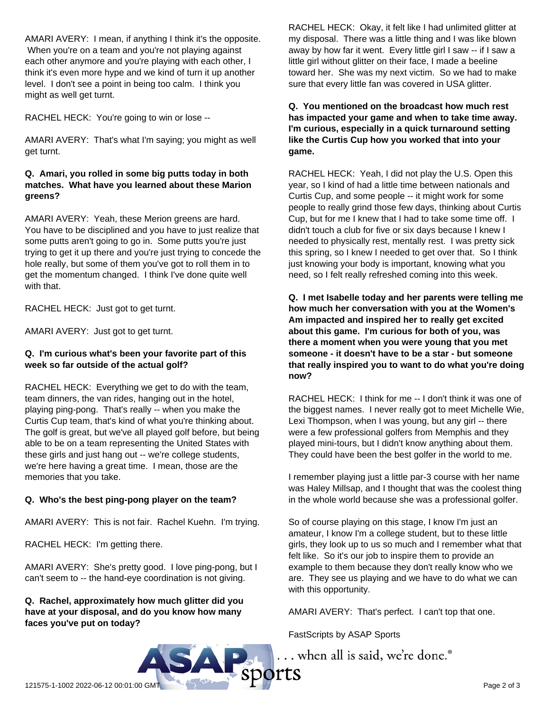AMARI AVERY: I mean, if anything I think it's the opposite. When you're on a team and you're not playing against each other anymore and you're playing with each other, I think it's even more hype and we kind of turn it up another level. I don't see a point in being too calm. I think you might as well get turnt.

RACHEL HECK: You're going to win or lose --

AMARI AVERY: That's what I'm saying; you might as well get turnt.

### **Q. Amari, you rolled in some big putts today in both matches. What have you learned about these Marion greens?**

AMARI AVERY: Yeah, these Merion greens are hard. You have to be disciplined and you have to just realize that some putts aren't going to go in. Some putts you're just trying to get it up there and you're just trying to concede the hole really, but some of them you've got to roll them in to get the momentum changed. I think I've done quite well with that.

RACHEL HECK: Just got to get turnt.

AMARI AVERY: Just got to get turnt.

### **Q. I'm curious what's been your favorite part of this week so far outside of the actual golf?**

RACHEL HECK: Everything we get to do with the team, team dinners, the van rides, hanging out in the hotel, playing ping-pong. That's really -- when you make the Curtis Cup team, that's kind of what you're thinking about. The golf is great, but we've all played golf before, but being able to be on a team representing the United States with these girls and just hang out -- we're college students, we're here having a great time. I mean, those are the memories that you take.

### **Q. Who's the best ping-pong player on the team?**

AMARI AVERY: This is not fair. Rachel Kuehn. I'm trying.

RACHEL HECK: I'm getting there.

AMARI AVERY: She's pretty good. I love ping-pong, but I can't seem to -- the hand-eye coordination is not giving.

### **Q. Rachel, approximately how much glitter did you have at your disposal, and do you know how many faces you've put on today?**

RACHEL HECK: Okay, it felt like I had unlimited glitter at my disposal. There was a little thing and I was like blown away by how far it went. Every little girl I saw -- if I saw a little girl without glitter on their face, I made a beeline toward her. She was my next victim. So we had to make sure that every little fan was covered in USA glitter.

**Q. You mentioned on the broadcast how much rest has impacted your game and when to take time away. I'm curious, especially in a quick turnaround setting like the Curtis Cup how you worked that into your game.**

RACHEL HECK: Yeah, I did not play the U.S. Open this year, so I kind of had a little time between nationals and Curtis Cup, and some people -- it might work for some people to really grind those few days, thinking about Curtis Cup, but for me I knew that I had to take some time off. I didn't touch a club for five or six days because I knew I needed to physically rest, mentally rest. I was pretty sick this spring, so I knew I needed to get over that. So I think just knowing your body is important, knowing what you need, so I felt really refreshed coming into this week.

**Q. I met Isabelle today and her parents were telling me how much her conversation with you at the Women's Am impacted and inspired her to really get excited about this game. I'm curious for both of you, was there a moment when you were young that you met someone - it doesn't have to be a star - but someone that really inspired you to want to do what you're doing now?**

RACHEL HECK: I think for me -- I don't think it was one of the biggest names. I never really got to meet Michelle Wie, Lexi Thompson, when I was young, but any girl -- there were a few professional golfers from Memphis and they played mini-tours, but I didn't know anything about them. They could have been the best golfer in the world to me.

I remember playing just a little par-3 course with her name was Haley Millsap, and I thought that was the coolest thing in the whole world because she was a professional golfer.

So of course playing on this stage, I know I'm just an amateur, I know I'm a college student, but to these little girls, they look up to us so much and I remember what that felt like. So it's our job to inspire them to provide an example to them because they don't really know who we are. They see us playing and we have to do what we can with this opportunity.

AMARI AVERY: That's perfect. I can't top that one.

FastScripts by ASAP Sports

... when all is said, we're done.<sup>®</sup>